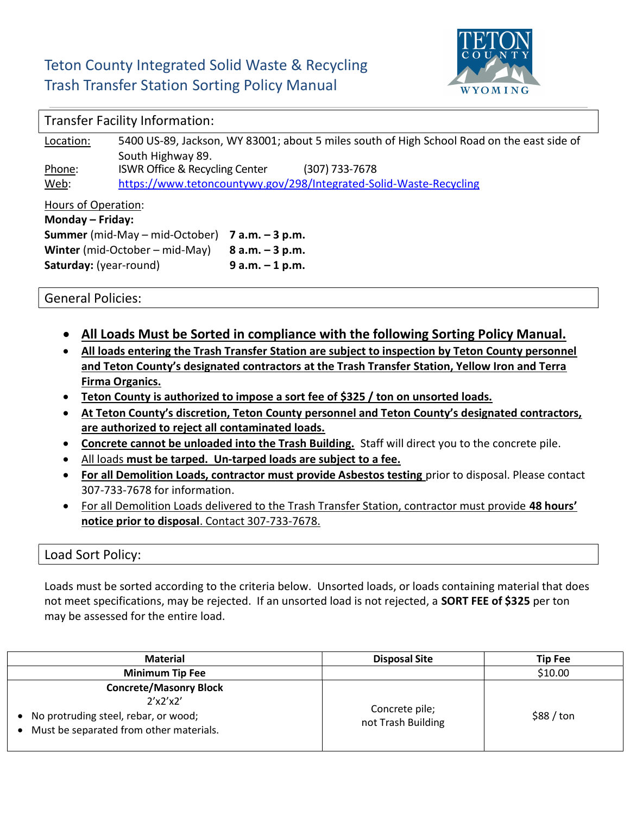## Teton County Integrated Solid Waste & Recycling Trash Transfer Station Sorting Policy Manual



## Transfer Facility Information:

| Location:                               | 5400 US-89, Jackson, WY 83001; about 5 miles south of High School Road on the east side of |                    |  |  |
|-----------------------------------------|--------------------------------------------------------------------------------------------|--------------------|--|--|
|                                         | South Highway 89.                                                                          |                    |  |  |
| Phone:                                  | ISWR Office & Recycling Center                                                             | (307) 733-7678     |  |  |
| Web:                                    | https://www.tetoncountywy.gov/298/Integrated-Solid-Waste-Recycling                         |                    |  |  |
| Hours of Operation:<br>Monday - Friday: |                                                                                            |                    |  |  |
| <b>Summer</b> (mid-May – mid-October)   |                                                                                            | $7$ a.m. $-3$ p.m. |  |  |
| Winter (mid-October – mid-May)          |                                                                                            | $8 a.m. - 3 p.m.$  |  |  |
| Saturday: (year-round)                  |                                                                                            | $9 a.m. - 1 p.m.$  |  |  |

General Policies:

- All Loads Must be Sorted in compliance with the following Sorting Policy Manual.
- All loads entering the Trash Transfer Station are subject to inspection by Teton County personnel and Teton County's designated contractors at the Trash Transfer Station, Yellow Iron and Terra Firma Organics.
- Teton County is authorized to impose a sort fee of \$325 / ton on unsorted loads.
- At Teton County's discretion, Teton County personnel and Teton County's designated contractors, are authorized to reject all contaminated loads.
- Concrete cannot be unloaded into the Trash Building. Staff will direct you to the concrete pile.
- All loads must be tarped. Un-tarped loads are subject to a fee.
- For all Demolition Loads, contractor must provide Asbestos testing prior to disposal. Please contact 307-733-7678 for information.
- For all Demolition Loads delivered to the Trash Transfer Station, contractor must provide 48 hours' notice prior to disposal. Contact 307-733-7678.

## Load Sort Policy:

Loads must be sorted according to the criteria below. Unsorted loads, or loads containing material that does not meet specifications, may be rejected. If an unsorted load is not rejected, a SORT FEE of \$325 per ton may be assessed for the entire load.

| <b>Material</b>                                                                                                                  | <b>Disposal Site</b>                 | <b>Tip Fee</b>     |
|----------------------------------------------------------------------------------------------------------------------------------|--------------------------------------|--------------------|
| <b>Minimum Tip Fee</b>                                                                                                           |                                      | \$10.00            |
| <b>Concrete/Masonry Block</b><br>2'x2'x2'<br>• No protruding steel, rebar, or wood;<br>• Must be separated from other materials. | Concrete pile;<br>not Trash Building | $$88 / \text{ton}$ |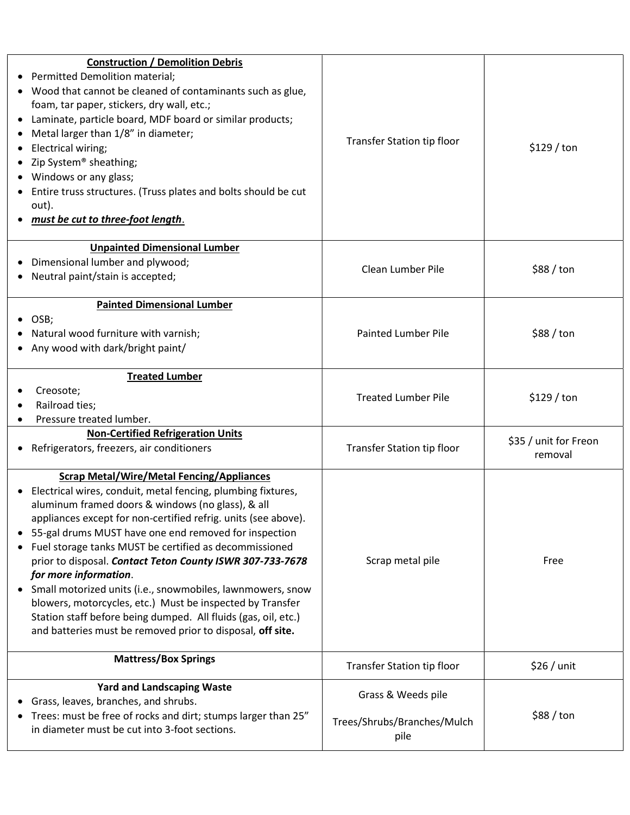| <b>Construction / Demolition Debris</b><br>• Permitted Demolition material;<br>• Wood that cannot be cleaned of contaminants such as glue,<br>foam, tar paper, stickers, dry wall, etc.;<br>• Laminate, particle board, MDF board or similar products;<br>Metal larger than 1/8" in diameter;<br>Electrical wiring;<br>• Zip System® sheathing;<br>• Windows or any glass;<br>Entire truss structures. (Truss plates and bolts should be cut<br>out).<br>must be cut to three-foot length.                                                                                                                                                                                                                  | Transfer Station tip floor                                | \$129/ton                        |
|-------------------------------------------------------------------------------------------------------------------------------------------------------------------------------------------------------------------------------------------------------------------------------------------------------------------------------------------------------------------------------------------------------------------------------------------------------------------------------------------------------------------------------------------------------------------------------------------------------------------------------------------------------------------------------------------------------------|-----------------------------------------------------------|----------------------------------|
| <b>Unpainted Dimensional Lumber</b><br>Dimensional lumber and plywood;<br>Neutral paint/stain is accepted;                                                                                                                                                                                                                                                                                                                                                                                                                                                                                                                                                                                                  | Clean Lumber Pile                                         | $$88 / \text{ton}$               |
| <b>Painted Dimensional Lumber</b><br>OSB;<br>Natural wood furniture with varnish;<br>Any wood with dark/bright paint/                                                                                                                                                                                                                                                                                                                                                                                                                                                                                                                                                                                       | <b>Painted Lumber Pile</b>                                | $$88 / \text{ton}$               |
| <b>Treated Lumber</b><br>Creosote;<br>Railroad ties;<br>Pressure treated lumber.                                                                                                                                                                                                                                                                                                                                                                                                                                                                                                                                                                                                                            | <b>Treated Lumber Pile</b>                                | \$129/ton                        |
| <b>Non-Certified Refrigeration Units</b><br>• Refrigerators, freezers, air conditioners                                                                                                                                                                                                                                                                                                                                                                                                                                                                                                                                                                                                                     | Transfer Station tip floor                                | \$35 / unit for Freon<br>removal |
| <b>Scrap Metal/Wire/Metal Fencing/Appliances</b><br>Electrical wires, conduit, metal fencing, plumbing fixtures,<br>aluminum framed doors & windows (no glass), & all<br>appliances except for non-certified refrig. units (see above).<br>55-gal drums MUST have one end removed for inspection<br>Fuel storage tanks MUST be certified as decommissioned<br>prior to disposal. Contact Teton County ISWR 307-733-7678<br>for more information.<br>Small motorized units (i.e., snowmobiles, lawnmowers, snow<br>blowers, motorcycles, etc.) Must be inspected by Transfer<br>Station staff before being dumped. All fluids (gas, oil, etc.)<br>and batteries must be removed prior to disposal, off site. | Scrap metal pile                                          | Free                             |
| <b>Mattress/Box Springs</b>                                                                                                                                                                                                                                                                                                                                                                                                                                                                                                                                                                                                                                                                                 | Transfer Station tip floor                                | $$26 /$ unit                     |
| <b>Yard and Landscaping Waste</b><br>• Grass, leaves, branches, and shrubs.<br>Trees: must be free of rocks and dirt; stumps larger than 25"<br>in diameter must be cut into 3-foot sections.                                                                                                                                                                                                                                                                                                                                                                                                                                                                                                               | Grass & Weeds pile<br>Trees/Shrubs/Branches/Mulch<br>pile | \$88 / ton                       |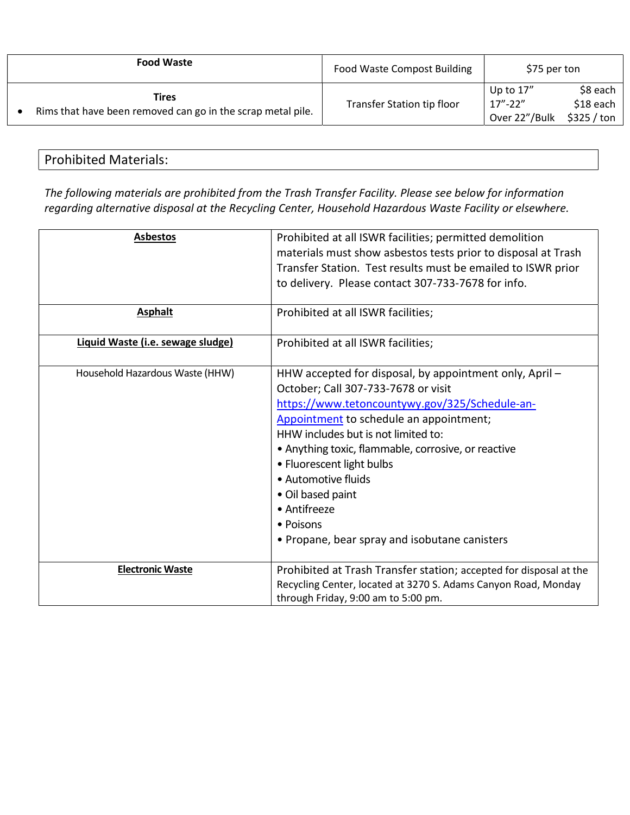| <b>Food Waste</b>                                                    | <b>Food Waste Compost Building</b> | \$75 per ton                               |                                      |
|----------------------------------------------------------------------|------------------------------------|--------------------------------------------|--------------------------------------|
| Tires<br>Rims that have been removed can go in the scrap metal pile. | Transfer Station tip floor         | Up to $17''$<br>$17 - 22$<br>Over 22"/Bulk | \$8 each<br>\$18 each<br>\$325 / ton |

## Prohibited Materials:

The following materials are prohibited from the Trash Transfer Facility. Please see below for information regarding alternative disposal at the Recycling Center, Household Hazardous Waste Facility or elsewhere.

| <b>Asbestos</b>                   | Prohibited at all ISWR facilities; permitted demolition<br>materials must show asbestos tests prior to disposal at Trash<br>Transfer Station. Test results must be emailed to ISWR prior<br>to delivery. Please contact 307-733-7678 for info.                                                                                                                                                                                                           |
|-----------------------------------|----------------------------------------------------------------------------------------------------------------------------------------------------------------------------------------------------------------------------------------------------------------------------------------------------------------------------------------------------------------------------------------------------------------------------------------------------------|
|                                   |                                                                                                                                                                                                                                                                                                                                                                                                                                                          |
| <b>Asphalt</b>                    | Prohibited at all ISWR facilities;                                                                                                                                                                                                                                                                                                                                                                                                                       |
| Liquid Waste (i.e. sewage sludge) | Prohibited at all ISWR facilities;                                                                                                                                                                                                                                                                                                                                                                                                                       |
| Household Hazardous Waste (HHW)   | HHW accepted for disposal, by appointment only, April -<br>October; Call 307-733-7678 or visit<br>https://www.tetoncountywy.gov/325/Schedule-an-<br>Appointment to schedule an appointment;<br>HHW includes but is not limited to:<br>• Anything toxic, flammable, corrosive, or reactive<br>• Fluorescent light bulbs<br>• Automotive fluids<br>• Oil based paint<br>• Antifreeze<br>$\bullet$ Poisons<br>• Propane, bear spray and isobutane canisters |
| <b>Electronic Waste</b>           | Prohibited at Trash Transfer station; accepted for disposal at the<br>Recycling Center, located at 3270 S. Adams Canyon Road, Monday<br>through Friday, 9:00 am to 5:00 pm.                                                                                                                                                                                                                                                                              |